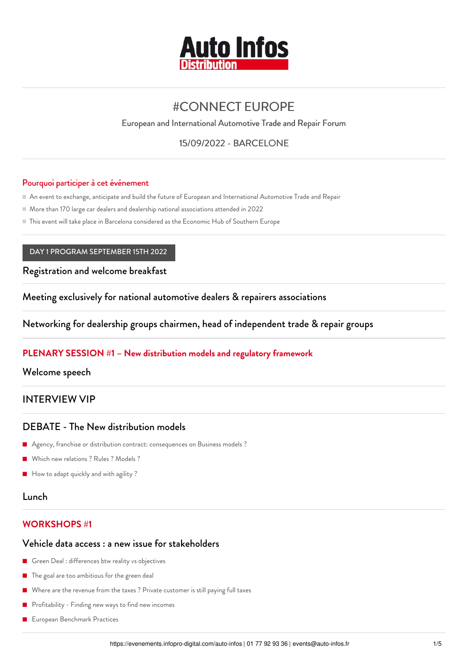

# [#CONNECT](https://evenements.infopro-digital.com/auto-infos/evenement-connect-europe-2022-p-15262) EUROPE

European and International Automotive Trade and Repair Forum

15/09/2022 - BARCELONE

#### Pourquoi participer à cet événement

An event to exchange, anticipate and build the future of European and International Automotive Trade and Repair

More than 170 large car dealers and dealership national associations attended in 2022

This event will take place in Barcelona considered as the Economic Hub of Southern Europe

#### DAY 1 PROGRAM SEPTEMBER 15TH 2022

Registration and welcome breakfast

Meeting exclusively for national automotive dealers & repairers associations

Networking for dealership groups chairmen, head of independent trade & repair groups

### **PLENARY SESSION #1 – New distribution models and regulatory framework**

Welcome speech

# INTERVIEW VIP

### DEBATE - The New distribution models

- Agency, franchise or distribution contract: consequences on Business models ?
- Which new relations ? Rules ? Models ?
- How to adapt quickly and with agility?

### Lunch

### **WORKSHOPS #1**

#### Vehicle data access : a new issue for stakeholders

- Green Deal : differences btw reality vs objectives
- **The goal are too ambitious for the green deal**
- Where are the revenue from the taxes ? Private customer is still paying full taxes
- Profitability Finding new ways to find new incomes
- European Benchmark Practices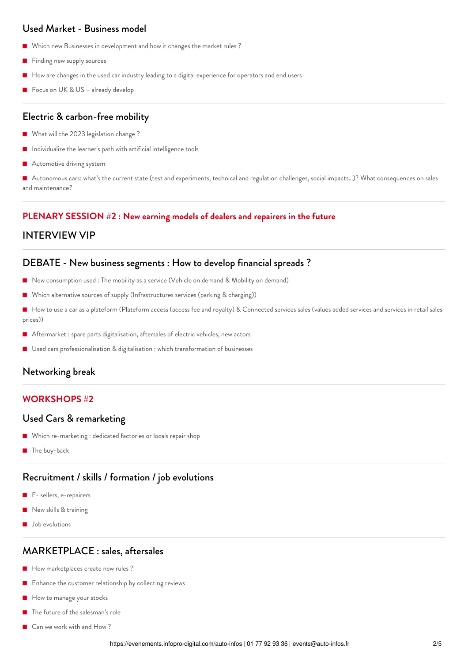# Used Market - Business model

- Which new Businesses in development and how it changes the market rules ?
- Finding new supply sources
- How are changes in the used car industry leading to a digital experience for operators and end users
- Focus on UK & US already develop

#### Electric & carbon-free mobility

- What will the 2023 legislation change ?
- Individualize the learner's path with artificial intelligence tools
- Automotive driving system

 Autonomous cars: what's the current state (test and experiments, technical and regulation challenges, social impacts…)? What consequences on sales and maintenance?

#### **PLENARY SESSION #2 : New earning models of dealers and repairers in the future**

#### INTERVIEW VIP

#### DEBATE - New business segments : How to develop financial spreads ?

- New consumption used : The mobility as a service (Vehicle on demand & Mobility on demand)
- Which alternative sources of supply (Infrastructures services (parking & charging))
- How to use a car as a plateform (Plateform access (access fee and royalty) & Connected services sales (values added services and services in retail sales prices))
- Aftermarket : spare parts digitalisation, aftersales of electric vehicles, new actors
- Used cars professionalisation & digitalisation : which transformation of businesses

### Networking break

#### **WORKSHOPS #2**

#### Used Cars & remarketing

- Which re-marketing : dedicated factories or locals repair shop
- **The buy-back**

# Recruitment / skills / formation / job evolutions

- E- sellers, e-repairers
- New skills & training
- **Job** evolutions

# MARKETPLACE : sales, aftersales

- How marketplaces create new rules ?
- Enhance the customer relationship by collecting reviews
- How to manage your stocks
- The future of the salesman's role
- Can we work with and How ?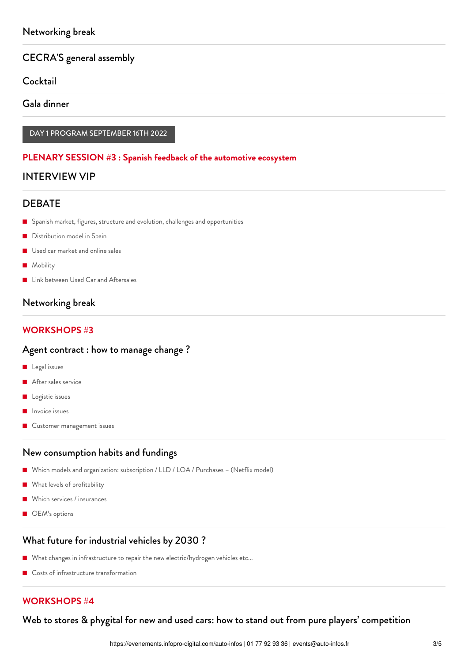# CECRA'S general assembly

**Cocktail** 

Gala dinner

DAY 1 PROGRAM SEPTEMBER 16TH 2022

#### **PLENARY SESSION #3 : Spanish feedback of the automotive ecosystem**

## INTERVIEW VIP

## **DEBATE**

- **E** Spanish market, figures, structure and evolution, challenges and opportunities
- Distribution model in Spain
- Used car market and online sales
- **Mobility**
- **Link between Used Car and Aftersales**

# Networking break

## **WORKSHOPS #3**

#### Agent contract : how to manage change ?

- **Legal** issues
- After sales service
- Logistic issues
- Invoice issues
- Customer management issues

### New consumption habits and fundings

- Which models and organization: subscription / LLD / LOA / Purchases (Netflix model)
- **What levels of profitability**
- Which services / insurances
- OEM's options

### What future for industrial vehicles by 2030 ?

- What changes in infrastructure to repair the new electric/hydrogen vehicles etc...
- Costs of infrastructure transformation

# **WORKSHOPS #4**

Web to stores & phygital for new and used cars: how to stand out from pure players' competition